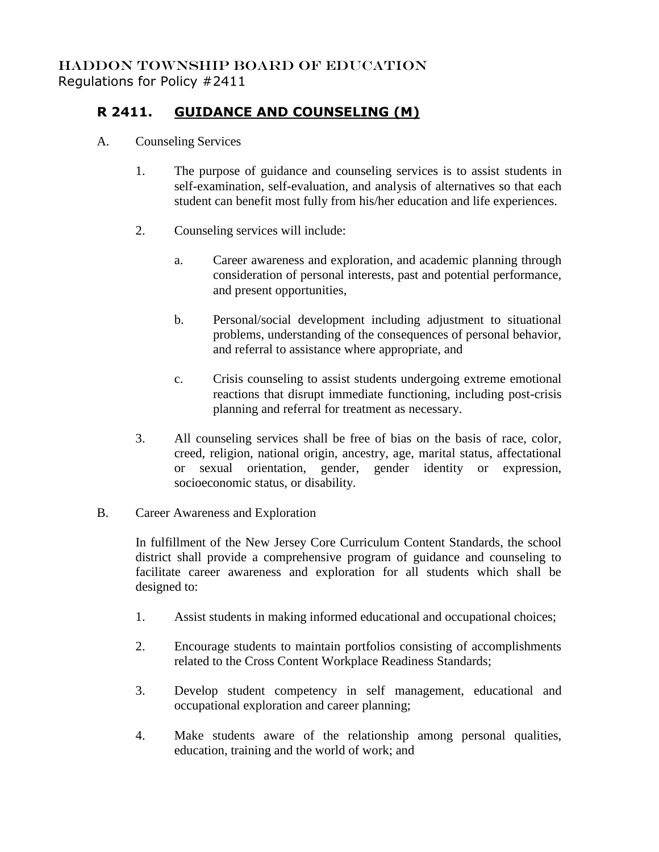## HADDON TOWNSHIP BOARD OF EDUCATION Regulations for Policy #2411

## **R 2411. GUIDANCE AND COUNSELING (M)**

- A. Counseling Services
	- 1. The purpose of guidance and counseling services is to assist students in self-examination, self-evaluation, and analysis of alternatives so that each student can benefit most fully from his/her education and life experiences.
	- 2. Counseling services will include:
		- a. Career awareness and exploration, and academic planning through consideration of personal interests, past and potential performance, and present opportunities,
		- b. Personal/social development including adjustment to situational problems, understanding of the consequences of personal behavior, and referral to assistance where appropriate, and
		- c. Crisis counseling to assist students undergoing extreme emotional reactions that disrupt immediate functioning, including post-crisis planning and referral for treatment as necessary.
	- 3. All counseling services shall be free of bias on the basis of race, color, creed, religion, national origin, ancestry, age, marital status, affectational or sexual orientation, gender, gender identity or expression, socioeconomic status, or disability.
- B. Career Awareness and Exploration

In fulfillment of the New Jersey Core Curriculum Content Standards, the school district shall provide a comprehensive program of guidance and counseling to facilitate career awareness and exploration for all students which shall be designed to:

- 1. Assist students in making informed educational and occupational choices;
- 2. Encourage students to maintain portfolios consisting of accomplishments related to the Cross Content Workplace Readiness Standards;
- 3. Develop student competency in self management, educational and occupational exploration and career planning;
- 4. Make students aware of the relationship among personal qualities, education, training and the world of work; and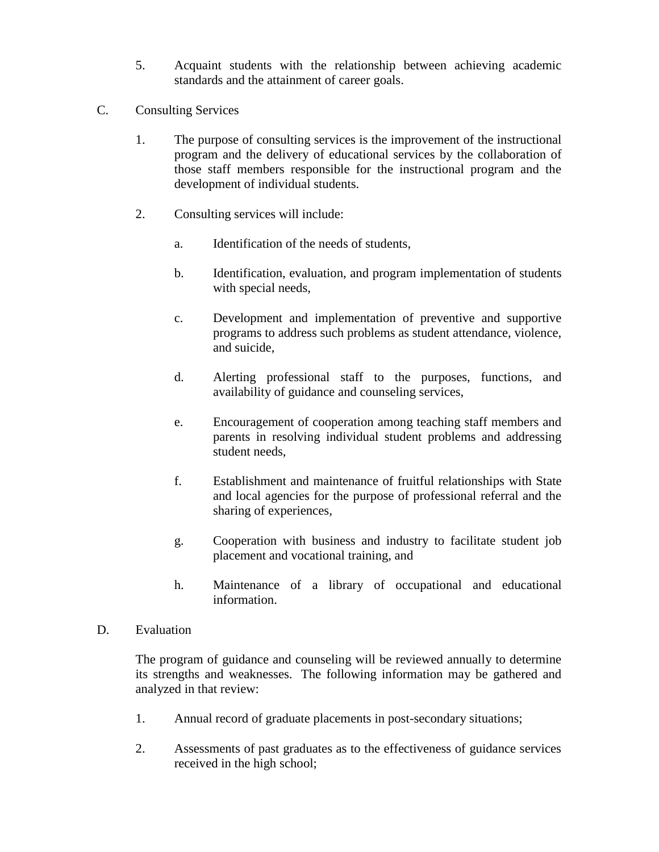- 5. Acquaint students with the relationship between achieving academic standards and the attainment of career goals.
- C. Consulting Services
	- 1. The purpose of consulting services is the improvement of the instructional program and the delivery of educational services by the collaboration of those staff members responsible for the instructional program and the development of individual students.
	- 2. Consulting services will include:
		- a. Identification of the needs of students,
		- b. Identification, evaluation, and program implementation of students with special needs,
		- c. Development and implementation of preventive and supportive programs to address such problems as student attendance, violence, and suicide,
		- d. Alerting professional staff to the purposes, functions, and availability of guidance and counseling services,
		- e. Encouragement of cooperation among teaching staff members and parents in resolving individual student problems and addressing student needs,
		- f. Establishment and maintenance of fruitful relationships with State and local agencies for the purpose of professional referral and the sharing of experiences,
		- g. Cooperation with business and industry to facilitate student job placement and vocational training, and
		- h. Maintenance of a library of occupational and educational information.
- D. Evaluation

The program of guidance and counseling will be reviewed annually to determine its strengths and weaknesses. The following information may be gathered and analyzed in that review:

- 1. Annual record of graduate placements in post-secondary situations;
- 2. Assessments of past graduates as to the effectiveness of guidance services received in the high school;